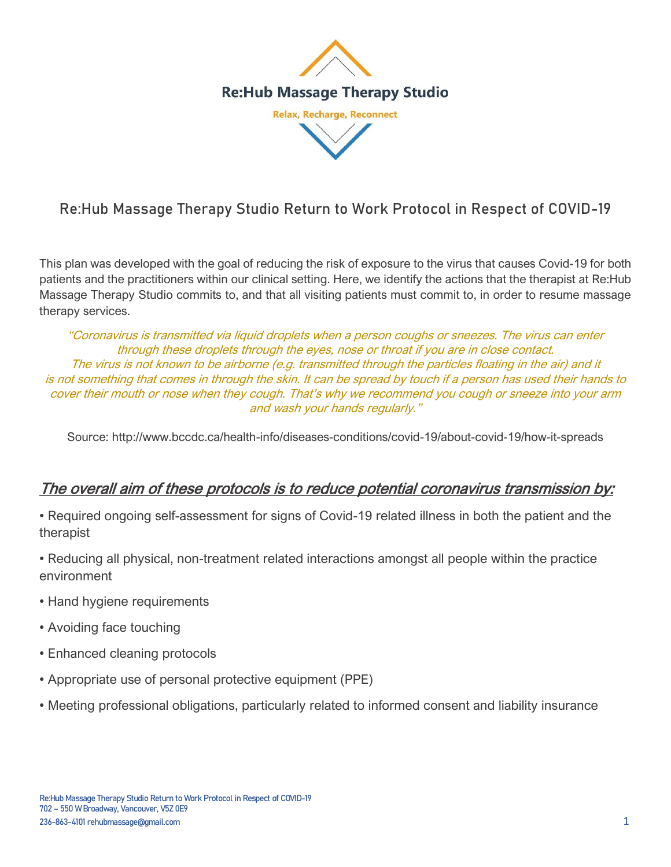

# Re:Hub Massage Therapy Studio Return to Work Protocol in Respect of COVID-19

This plan was developed with the goal of reducing the risk of exposure to the virus that causes Covid-19 for both patients and the practitioners within our clinical setting. Here, we identify the actions that the therapist at Re:Hub Massage Therapy Studio commits to, and that all visiting patients must commit to, in order to resume massage therapy services.

"Coronavirus is transmitted via liquid droplets when a person coughs or sneezes. The virus can enter through these droplets through the eyes, nose or throat if you are in close contact. The virus is not known to be airborne (e.g. transmitted through the particles floating in the air) and it is not something that comes in through the skin. It can be spread by touch if a person has used their hands to cover their mouth or nose when they cough. That's why we recommend you cough or sneeze into your arm and wash your hands regularly."

Source: http://www.bccdc.ca/health-info/diseases-conditions/covid-19/about-covid-19/how-it-spreads

### The overall aim of these protocols is to reduce potential coronavirus transmission by:

• Required ongoing self-assessment for signs of Covid-19 related illness in both the patient and the therapist

- Reducing all physical, non-treatment related interactions amongst all people within the practice environment
- Hand hygiene requirements
- Avoiding face touching
- Enhanced cleaning protocols
- Appropriate use of personal protective equipment (PPE)
- Meeting professional obligations, particularly related to informed consent and liability insurance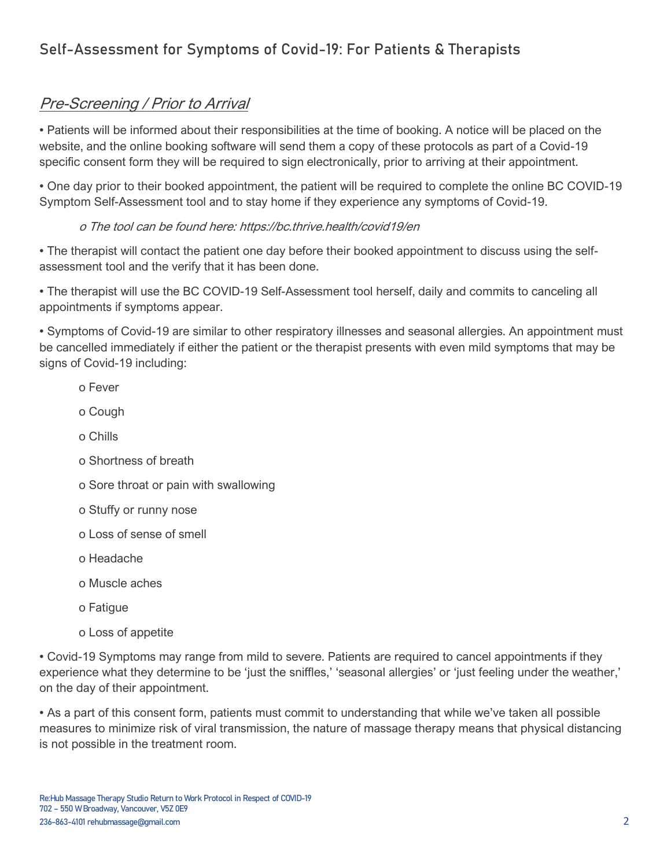# Self-Assessment for Symptoms of Covid-19: For Patients & Therapists

### Pre-Screening / Prior to Arrival

• Patients will be informed about their responsibilities at the time of booking. A notice will be placed on the website, and the online booking software will send them a copy of these protocols as part of a Covid-19 specific consent form they will be required to sign electronically, prior to arriving at their appointment.

• One day prior to their booked appointment, the patient will be required to complete the online BC COVID-19 Symptom Self-Assessment tool and to stay home if they experience any symptoms of Covid-19.

#### o The tool can be found here: https://bc.thrive.health/covid19/en

• The therapist will contact the patient one day before their booked appointment to discuss using the selfassessment tool and the verify that it has been done.

• The therapist will use the BC COVID-19 Self-Assessment tool herself, daily and commits to canceling all appointments if symptoms appear.

• Symptoms of Covid-19 are similar to other respiratory illnesses and seasonal allergies. An appointment must be cancelled immediately if either the patient or the therapist presents with even mild symptoms that may be signs of Covid-19 including:

- o Fever
- o Cough
- o Chills
- o Shortness of breath
- o Sore throat or pain with swallowing
- o Stuffy or runny nose
- o Loss of sense of smell
- o Headache
- o Muscle aches
- o Fatigue
- o Loss of appetite

• Covid-19 Symptoms may range from mild to severe. Patients are required to cancel appointments if they experience what they determine to be 'just the sniffles,' 'seasonal allergies' or 'just feeling under the weather,' on the day of their appointment.

• As a part of this consent form, patients must commit to understanding that while we've taken all possible measures to minimize risk of viral transmission, the nature of massage therapy means that physical distancing is not possible in the treatment room.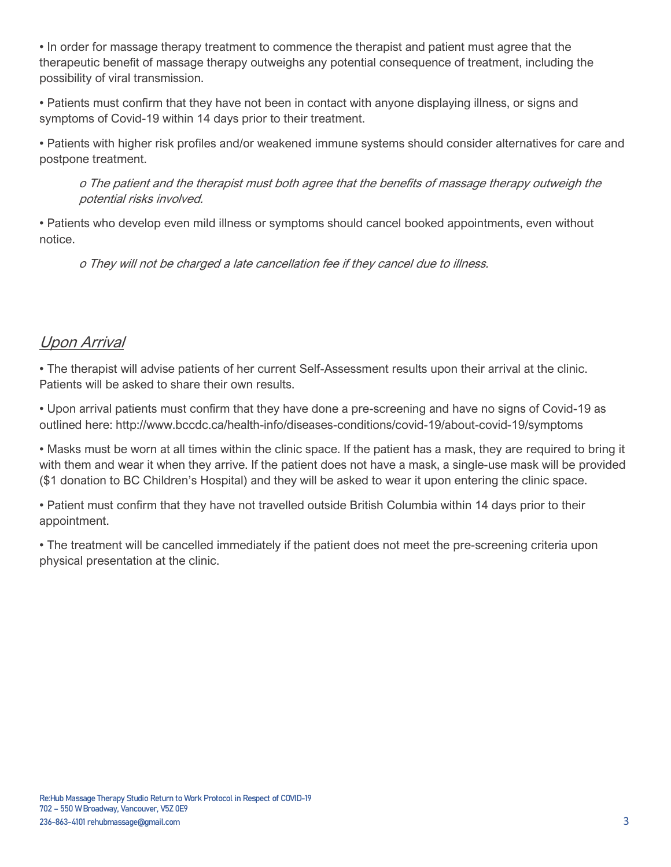• In order for massage therapy treatment to commence the therapist and patient must agree that the therapeutic benefit of massage therapy outweighs any potential consequence of treatment, including the possibility of viral transmission.

• Patients must confirm that they have not been in contact with anyone displaying illness, or signs and symptoms of Covid-19 within 14 days prior to their treatment.

• Patients with higher risk profiles and/or weakened immune systems should consider alternatives for care and postpone treatment.

o The patient and the therapist must both agree that the benefits of massage therapy outweigh the potential risks involved.

• Patients who develop even mild illness or symptoms should cancel booked appointments, even without notice.

o They will not be charged a late cancellation fee if they cancel due to illness.

## Upon Arrival

• The therapist will advise patients of her current Self-Assessment results upon their arrival at the clinic. Patients will be asked to share their own results.

• Upon arrival patients must confirm that they have done a pre-screening and have no signs of Covid-19 as outlined here: http://www.bccdc.ca/health-info/diseases-conditions/covid-19/about-covid-19/symptoms

• Masks must be worn at all times within the clinic space. If the patient has a mask, they are required to bring it with them and wear it when they arrive. If the patient does not have a mask, a single-use mask will be provided (\$1 donation to BC Children's Hospital) and they will be asked to wear it upon entering the clinic space.

• Patient must confirm that they have not travelled outside British Columbia within 14 days prior to their appointment.

• The treatment will be cancelled immediately if the patient does not meet the pre-screening criteria upon physical presentation at the clinic.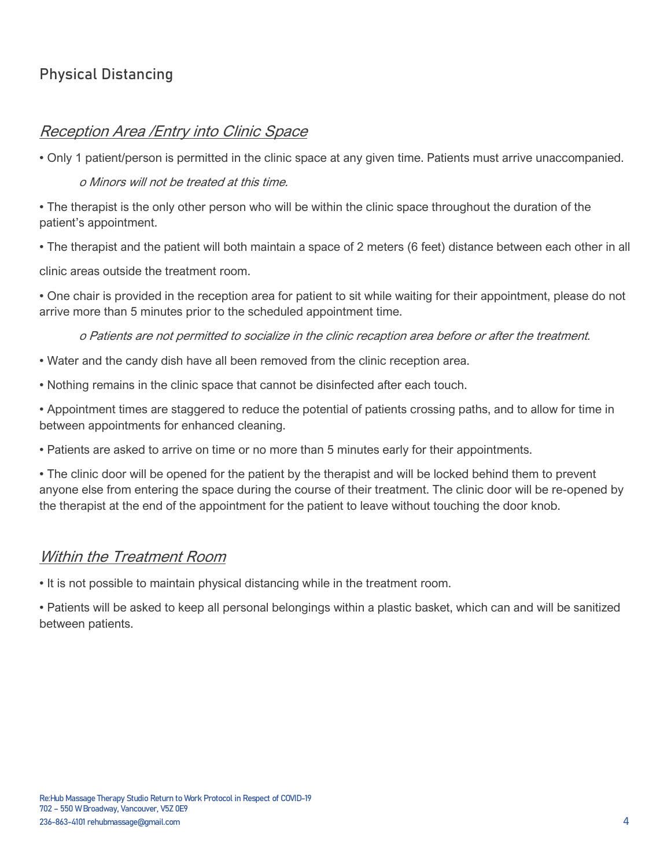# Physical Distancing

### Reception Area /Entry into Clinic Space

• Only 1 patient/person is permitted in the clinic space at any given time. Patients must arrive unaccompanied.

#### o Minors will not be treated at this time.

• The therapist is the only other person who will be within the clinic space throughout the duration of the patient's appointment.

• The therapist and the patient will both maintain a space of 2 meters (6 feet) distance between each other in all

clinic areas outside the treatment room.

• One chair is provided in the reception area for patient to sit while waiting for their appointment, please do not arrive more than 5 minutes prior to the scheduled appointment time.

o Patients are not permitted to socialize in the clinic recaption area before or after the treatment.

- Water and the candy dish have all been removed from the clinic reception area.
- Nothing remains in the clinic space that cannot be disinfected after each touch.

• Appointment times are staggered to reduce the potential of patients crossing paths, and to allow for time in between appointments for enhanced cleaning.

• Patients are asked to arrive on time or no more than 5 minutes early for their appointments.

• The clinic door will be opened for the patient by the therapist and will be locked behind them to prevent anyone else from entering the space during the course of their treatment. The clinic door will be re-opened by the therapist at the end of the appointment for the patient to leave without touching the door knob.

#### Within the Treatment Room

• It is not possible to maintain physical distancing while in the treatment room.

• Patients will be asked to keep all personal belongings within a plastic basket, which can and will be sanitized between patients.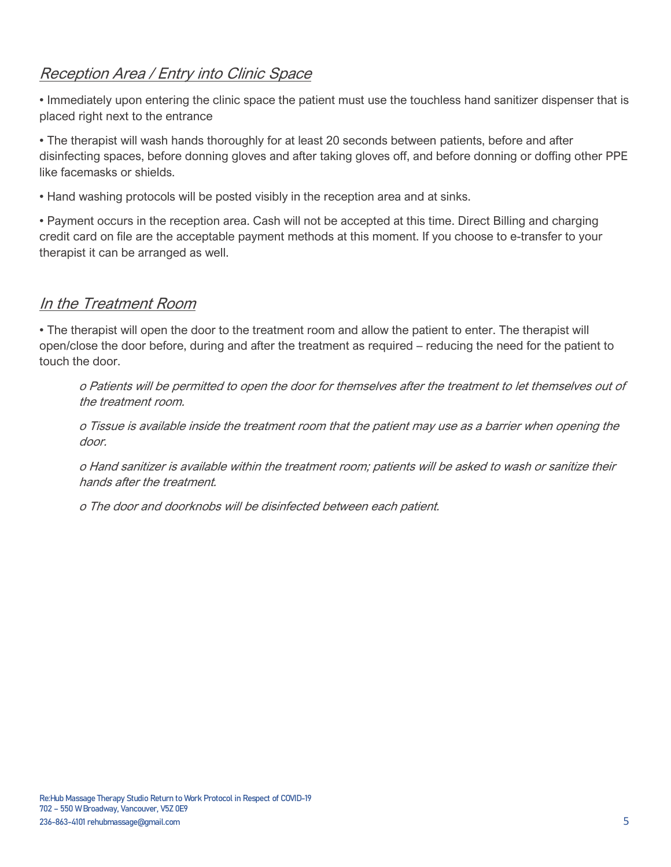# Reception Area / Entry into Clinic Space

• Immediately upon entering the clinic space the patient must use the touchless hand sanitizer dispenser that is placed right next to the entrance

• The therapist will wash hands thoroughly for at least 20 seconds between patients, before and after disinfecting spaces, before donning gloves and after taking gloves off, and before donning or doffing other PPE like facemasks or shields.

• Hand washing protocols will be posted visibly in the reception area and at sinks.

• Payment occurs in the reception area. Cash will not be accepted at this time. Direct Billing and charging credit card on file are the acceptable payment methods at this moment. If you choose to e-transfer to your therapist it can be arranged as well.

### In the Treatment Room

• The therapist will open the door to the treatment room and allow the patient to enter. The therapist will open/close the door before, during and after the treatment as required – reducing the need for the patient to touch the door.

o Patients will be permitted to open the door for themselves after the treatment to let themselves out of the treatment room.

o Tissue is available inside the treatment room that the patient may use as a barrier when opening the door.

o Hand sanitizer is available within the treatment room; patients will be asked to wash or sanitize their hands after the treatment.

o The door and doorknobs will be disinfected between each patient.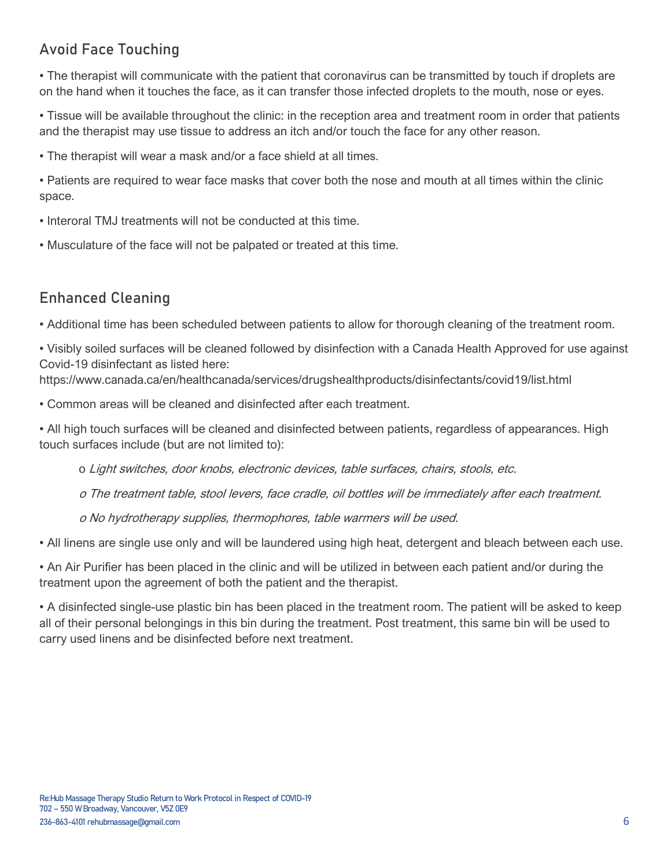# Avoid Face Touching

• The therapist will communicate with the patient that coronavirus can be transmitted by touch if droplets are on the hand when it touches the face, as it can transfer those infected droplets to the mouth, nose or eyes.

• Tissue will be available throughout the clinic: in the reception area and treatment room in order that patients and the therapist may use tissue to address an itch and/or touch the face for any other reason.

• The therapist will wear a mask and/or a face shield at all times.

• Patients are required to wear face masks that cover both the nose and mouth at all times within the clinic space.

- Interoral TMJ treatments will not be conducted at this time.
- Musculature of the face will not be palpated or treated at this time.

# Enhanced Cleaning

• Additional time has been scheduled between patients to allow for thorough cleaning of the treatment room.

• Visibly soiled surfaces will be cleaned followed by disinfection with a Canada Health Approved for use against Covid-19 disinfectant as listed here:

https://www.canada.ca/en/healthcanada/services/drugshealthproducts/disinfectants/covid19/list.html

• Common areas will be cleaned and disinfected after each treatment.

• All high touch surfaces will be cleaned and disinfected between patients, regardless of appearances. High touch surfaces include (but are not limited to):

o Light switches, door knobs, electronic devices, table surfaces, chairs, stools, etc.

o The treatment table, stool levers, face cradle, oil bottles will be immediately after each treatment.

o No hydrotherapy supplies, thermophores, table warmers will be used.

• All linens are single use only and will be laundered using high heat, detergent and bleach between each use.

• An Air Purifier has been placed in the clinic and will be utilized in between each patient and/or during the treatment upon the agreement of both the patient and the therapist.

• A disinfected single-use plastic bin has been placed in the treatment room. The patient will be asked to keep all of their personal belongings in this bin during the treatment. Post treatment, this same bin will be used to carry used linens and be disinfected before next treatment.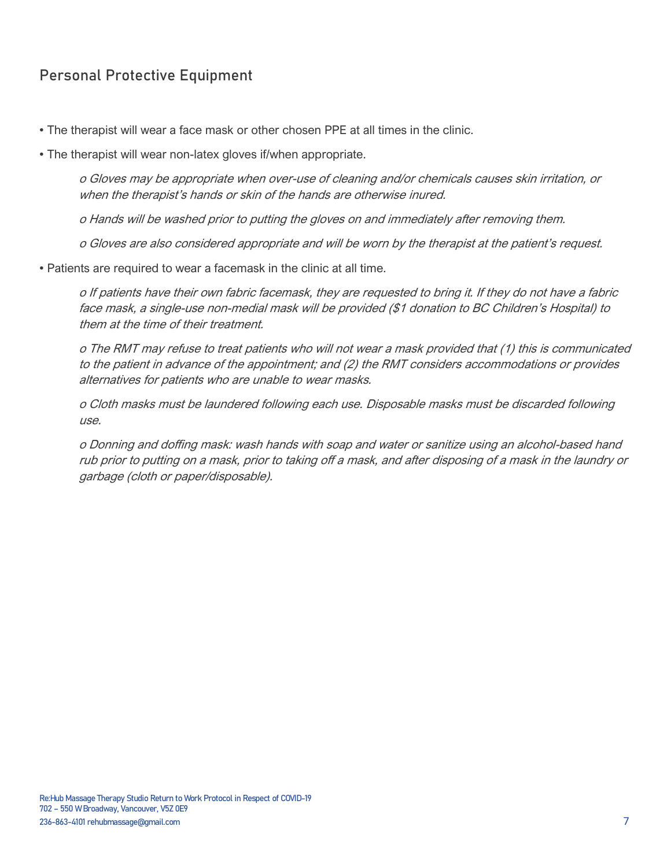# Personal Protective Equipment

- The therapist will wear a face mask or other chosen PPE at all times in the clinic.
- The therapist will wear non-latex gloves if/when appropriate.

o Gloves may be appropriate when over-use of cleaning and/or chemicals causes skin irritation, or when the therapist's hands or skin of the hands are otherwise inured.

o Hands will be washed prior to putting the gloves on and immediately after removing them.

o Gloves are also considered appropriate and will be worn by the therapist at the patient's request.

• Patients are required to wear a facemask in the clinic at all time.

o If patients have their own fabric facemask, they are requested to bring it. If they do not have a fabric face mask, a single-use non-medial mask will be provided (\$1 donation to BC Children's Hospital) to them at the time of their treatment.

o The RMT may refuse to treat patients who will not wear a mask provided that (1) this is communicated to the patient in advance of the appointment; and (2) the RMT considers accommodations or provides alternatives for patients who are unable to wear masks.

o Cloth masks must be laundered following each use. Disposable masks must be discarded following use.

o Donning and doffing mask: wash hands with soap and water or sanitize using an alcohol-based hand rub prior to putting on a mask, prior to taking off a mask, and after disposing of a mask in the laundry or garbage (cloth or paper/disposable).